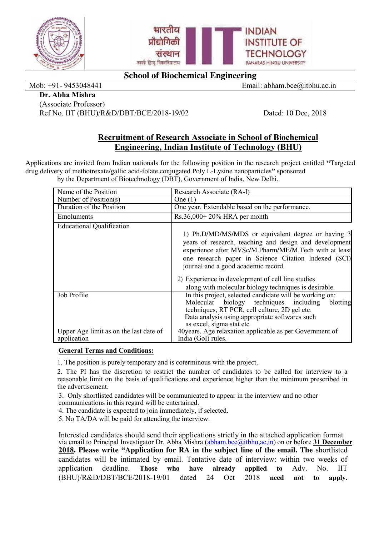



# **School of Biochemical Engineering**

Mob: +91- 9453048441 Email: abham.bce@itbhu.ac.in

#### **Dr. Abha Mishra**

(Associate Professor) Ref No. IIT (BHU)/R&D/DBT/BCE/2018-19/02 Dated: 10 Dec, 2018

## **Recruitment of Research Associate in School of Biochemical Engineering, Indian Institute of Technology (BHU)**

Applications are invited from Indian nationals for the following position in the research project entitled **"**Targeted drug delivery of methotrexate/gallic acid-folate conjugated Poly L-Lysine nanoparticles**"** sponsored by the Department of Biotechnology (DBT), Government of India, New Delhi.

| Name of the Position                                  | Research Associate (RA-I)                                                                                                                                                                                                                                            |  |  |  |
|-------------------------------------------------------|----------------------------------------------------------------------------------------------------------------------------------------------------------------------------------------------------------------------------------------------------------------------|--|--|--|
| Number of Position(s)                                 | One $(1)$                                                                                                                                                                                                                                                            |  |  |  |
| Duration of the Position                              | One year. Extendable based on the performance.                                                                                                                                                                                                                       |  |  |  |
| Emoluments                                            | $Rs.36,000+20\%$ HRA per month                                                                                                                                                                                                                                       |  |  |  |
| <b>Educational Qualification</b>                      | 1) Ph.D/MD/MS/MDS or equivalent degree or having 3<br>years of research, teaching and design and development<br>experience after MVSc/M.Pharm/ME/M.Tech with at least<br>one research paper in Science Citation Indexed (SCI)<br>journal and a good academic record. |  |  |  |
|                                                       | 2) Experience in development of cell line studies<br>along with molecular biology techniques is desirable.                                                                                                                                                           |  |  |  |
| Job Profile                                           | In this project, selected candidate will be working on:<br>Molecular biology techniques including<br>blotting<br>techniques, RT PCR, cell culture, 2D gel etc.<br>Data analysis using appropriate softwares such<br>as excel, sigma stat etc                         |  |  |  |
| Upper Age limit as on the last date of<br>application | 40 years. Age relaxation applicable as per Government of<br>India (GoI) rules.                                                                                                                                                                                       |  |  |  |

## **General Terms and Conditions:**

1. The position is purely temporary and is coterminous with the project.

2. The PI has the discretion to restrict the number of candidates to be called for interview to a reasonable limit on the basis of qualifications and experience higher than the minimum prescribed in the advertisement.

3. Only shortlisted candidates will be communicated to appear in the interview and no other communications in this regard will be entertained.

4. The candidate is expected to join immediately, if selected.

5. No TA/DA will be paid for attending the interview.

Interested candidates should send their applications strictly in the attached application format via email to Principal Investigator Dr. Abha Mishra [\(abham.bce@itbhu,ac,in\)](mailto:abham.bce@itbhu,ac,in) on or before **31 December 2018. Please write "Application for RA in the subject line of the email. The** shortlisted candidates will be intimated by email. Tentative date of interview: within two weeks of application deadline. **Those who have already applied to** Adv. No. IIT (BHU)/R&D/DBT/BCE/2018-19/01 dated 24 Oct 2018 **need not to apply.**